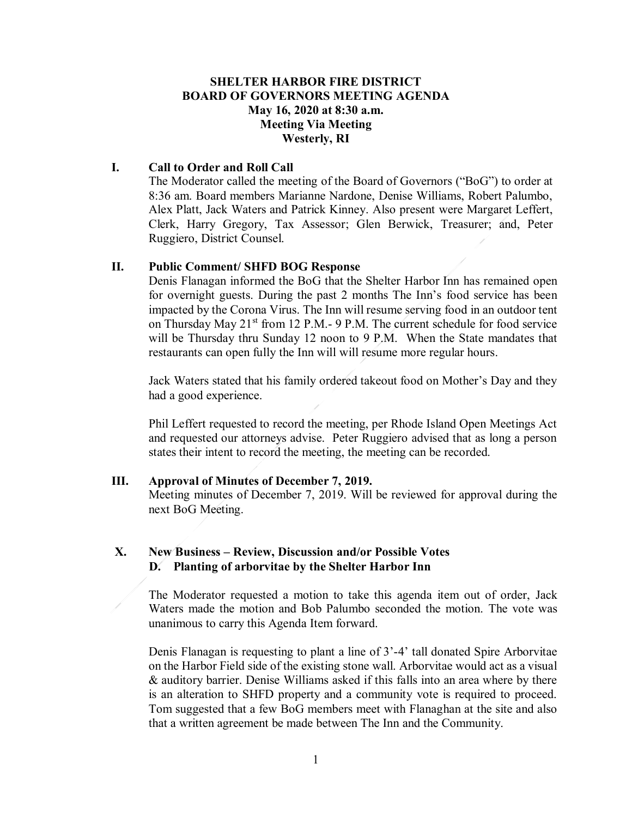# **SHELTER HARBOR FIRE DISTRICT BOARD OF GOVERNORS MEETING AGENDA May 16, 2020 at 8:30 a.m. Meeting Via Meeting Westerly, RI**

# **I. Call to Order and Roll Call**

The Moderator called the meeting of the Board of Governors ("BoG") to order at 8:36 am. Board members Marianne Nardone, Denise Williams, Robert Palumbo, Alex Platt, Jack Waters and Patrick Kinney. Also present were Margaret Leffert, Clerk, Harry Gregory, Tax Assessor; Glen Berwick, Treasurer; and, Peter Ruggiero, District Counsel.

## **II. Public Comment/ SHFD BOG Response**

Denis Flanagan informed the BoG that the Shelter Harbor Inn has remained open for overnight guests. During the past 2 months The Inn's food service has been impacted by the Corona Virus. The Inn will resume serving food in an outdoor tent on Thursday May  $21^{st}$  from 12 P.M.- 9 P.M. The current schedule for food service will be Thursday thru Sunday 12 noon to 9 P.M. When the State mandates that restaurants can open fully the Inn will will resume more regular hours.

Jack Waters stated that his family ordered takeout food on Mother's Day and they had a good experience.

Phil Leffert requested to record the meeting, per Rhode Island Open Meetings Act and requested our attorneys advise. Peter Ruggiero advised that as long a person states their intent to record the meeting, the meeting can be recorded.

# **III. Approval of Minutes of December 7, 2019.**

Meeting minutes of December 7, 2019. Will be reviewed for approval during the next BoG Meeting.

# **X. New Business – Review, Discussion and/or Possible Votes D. Planting of arborvitae by the Shelter Harbor Inn**

The Moderator requested a motion to take this agenda item out of order, Jack Waters made the motion and Bob Palumbo seconded the motion. The vote was unanimous to carry this Agenda Item forward.

Denis Flanagan is requesting to plant a line of 3'-4' tall donated Spire Arborvitae on the Harbor Field side of the existing stone wall. Arborvitae would act as a visual & auditory barrier. Denise Williams asked if this falls into an area where by there is an alteration to SHFD property and a community vote is required to proceed. Tom suggested that a few BoG members meet with Flanaghan at the site and also that a written agreement be made between The Inn and the Community.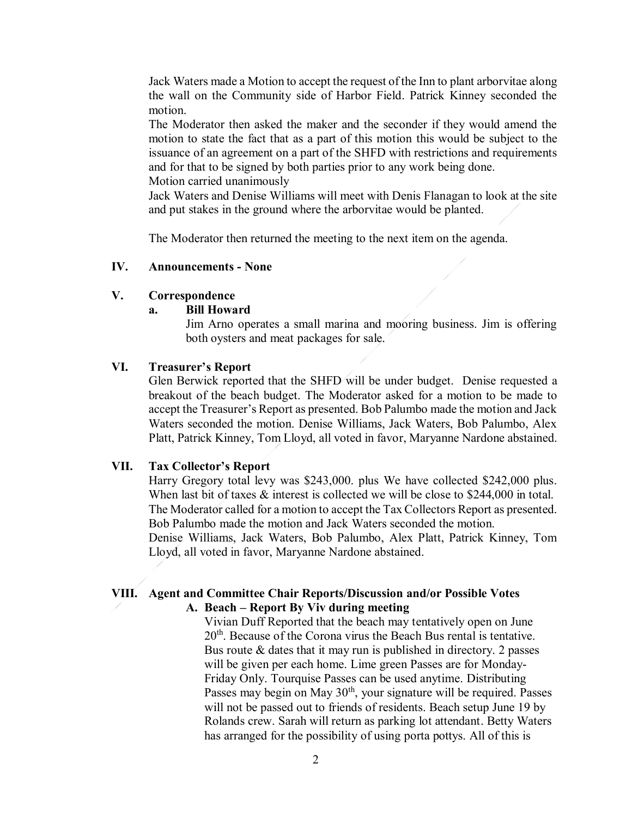Jack Waters made a Motion to accept the request of the Inn to plant arborvitae along the wall on the Community side of Harbor Field. Patrick Kinney seconded the motion.

The Moderator then asked the maker and the seconder if they would amend the motion to state the fact that as a part of this motion this would be subject to the issuance of an agreement on a part of the SHFD with restrictions and requirements and for that to be signed by both parties prior to any work being done. Motion carried unanimously

Jack Waters and Denise Williams will meet with Denis Flanagan to look at the site and put stakes in the ground where the arborvitae would be planted.

The Moderator then returned the meeting to the next item on the agenda.

## **IV. Announcements - None**

### **V. Correspondence**

#### **a. Bill Howard**

Jim Arno operates a small marina and mooring business. Jim is offering both oysters and meat packages for sale.

#### **VI. Treasurer's Report**

Glen Berwick reported that the SHFD will be under budget. Denise requested a breakout of the beach budget. The Moderator asked for a motion to be made to accept the Treasurer's Report as presented. Bob Palumbo made the motion and Jack Waters seconded the motion. Denise Williams, Jack Waters, Bob Palumbo, Alex Platt, Patrick Kinney, Tom Lloyd, all voted in favor, Maryanne Nardone abstained.

#### **VII. Tax Collector's Report**

Harry Gregory total levy was \$243,000. plus We have collected \$242,000 plus. When last bit of taxes  $\&$  interest is collected we will be close to \$244,000 in total. The Moderator called for a motion to accept the Tax Collectors Report as presented. Bob Palumbo made the motion and Jack Waters seconded the motion.

Denise Williams, Jack Waters, Bob Palumbo, Alex Platt, Patrick Kinney, Tom Lloyd, all voted in favor, Maryanne Nardone abstained.

## **VIII. Agent and Committee Chair Reports/Discussion and/or Possible Votes A. Beach – Report By Viv during meeting**

Vivian Duff Reported that the beach may tentatively open on June  $20<sup>th</sup>$ . Because of the Corona virus the Beach Bus rental is tentative. Bus route  $\&$  dates that it may run is published in directory. 2 passes will be given per each home. Lime green Passes are for Monday-Friday Only. Tourquise Passes can be used anytime. Distributing Passes may begin on May 30<sup>th</sup>, your signature will be required. Passes will not be passed out to friends of residents. Beach setup June 19 by Rolands crew. Sarah will return as parking lot attendant. Betty Waters has arranged for the possibility of using porta pottys. All of this is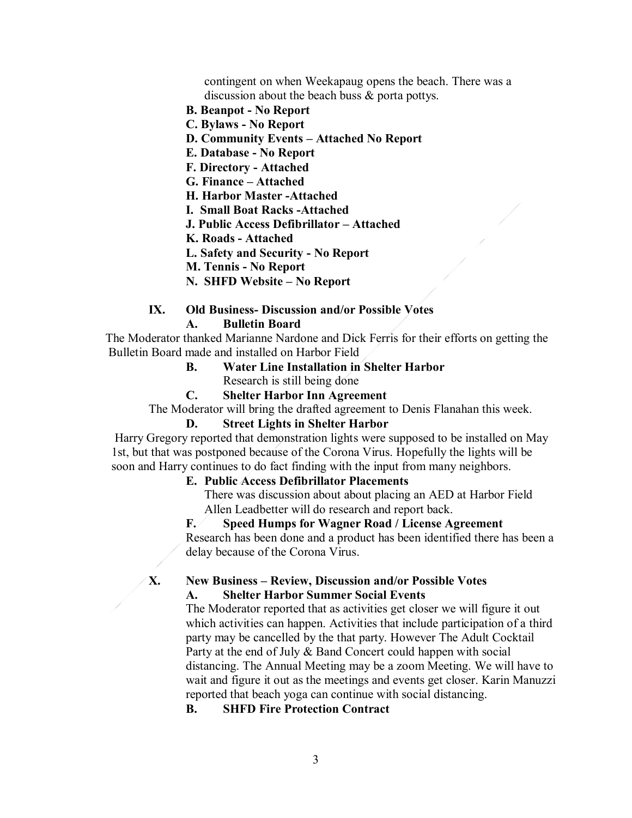contingent on when Weekapaug opens the beach. There was a discussion about the beach buss & porta pottys.

- **B. Beanpot - No Report**
- **C. Bylaws - No Report**
- **D. Community Events – Attached No Report**
- **E. Database - No Report**
- **F. Directory - Attached**
- **G. Finance – Attached**
- **H. Harbor Master -Attached**
- **I. Small Boat Racks -Attached**
- **J. Public Access Defibrillator – Attached**
- **K. Roads - Attached**
- **L. Safety and Security - No Report**
- **M. Tennis - No Report**
- **N. SHFD Website – No Report**
- **IX. Old Business- Discussion and/or Possible Votes A. Bulletin Board**

 The Moderator thanked Marianne Nardone and Dick Ferris for their efforts on getting the Bulletin Board made and installed on Harbor Field

- **B. Water Line Installation in Shelter Harbor** Research is still being done
- **C. Shelter Harbor Inn Agreement**

The Moderator will bring the drafted agreement to Denis Flanahan this week.

#### **D. Street Lights in Shelter Harbor**

Harry Gregory reported that demonstration lights were supposed to be installed on May 1st, but that was postponed because of the Corona Virus. Hopefully the lights will be soon and Harry continues to do fact finding with the input from many neighbors.

#### **E. Public Access Defibrillator Placements**

There was discussion about about placing an AED at Harbor Field Allen Leadbetter will do research and report back.

## **F. Speed Humps for Wagner Road / License Agreement**

Research has been done and a product has been identified there has been a delay because of the Corona Virus.

### **X. New Business – Review, Discussion and/or Possible Votes A. Shelter Harbor Summer Social Events**

The Moderator reported that as activities get closer we will figure it out which activities can happen. Activities that include participation of a third party may be cancelled by the that party. However The Adult Cocktail Party at the end of July & Band Concert could happen with social distancing. The Annual Meeting may be a zoom Meeting. We will have to wait and figure it out as the meetings and events get closer. Karin Manuzzi reported that beach yoga can continue with social distancing.

## **B. SHFD Fire Protection Contract**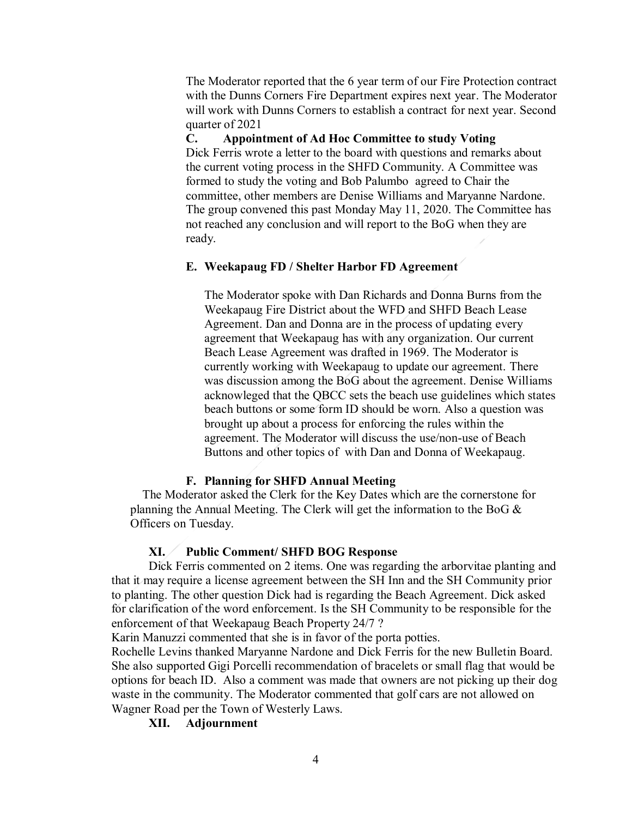The Moderator reported that the 6 year term of our Fire Protection contract with the Dunns Corners Fire Department expires next year. The Moderator will work with Dunns Corners to establish a contract for next year. Second quarter of 2021

**C. Appointment of Ad Hoc Committee to study Voting**

Dick Ferris wrote a letter to the board with questions and remarks about the current voting process in the SHFD Community. A Committee was formed to study the voting and Bob Palumbo agreed to Chair the committee, other members are Denise Williams and Maryanne Nardone. The group convened this past Monday May 11, 2020. The Committee has not reached any conclusion and will report to the BoG when they are ready.

# **E. Weekapaug FD / Shelter Harbor FD Agreement**

The Moderator spoke with Dan Richards and Donna Burns from the Weekapaug Fire District about the WFD and SHFD Beach Lease Agreement. Dan and Donna are in the process of updating every agreement that Weekapaug has with any organization. Our current Beach Lease Agreement was drafted in 1969. The Moderator is currently working with Weekapaug to update our agreement. There was discussion among the BoG about the agreement. Denise Williams acknowleged that the QBCC sets the beach use guidelines which states beach buttons or some form ID should be worn. Also a question was brought up about a process for enforcing the rules within the agreement. The Moderator will discuss the use/non-use of Beach Buttons and other topics of with Dan and Donna of Weekapaug.

#### **F. Planning for SHFD Annual Meeting**

The Moderator asked the Clerk for the Key Dates which are the cornerstone for planning the Annual Meeting. The Clerk will get the information to the BoG & Officers on Tuesday.

## **XI. Public Comment/ SHFD BOG Response**

Dick Ferris commented on 2 items. One was regarding the arborvitae planting and that it may require a license agreement between the SH Inn and the SH Community prior to planting. The other question Dick had is regarding the Beach Agreement. Dick asked for clarification of the word enforcement. Is the SH Community to be responsible for the enforcement of that Weekapaug Beach Property 24/7 ?

Karin Manuzzi commented that she is in favor of the porta potties.

Rochelle Levins thanked Maryanne Nardone and Dick Ferris for the new Bulletin Board. She also supported Gigi Porcelli recommendation of bracelets or small flag that would be options for beach ID. Also a comment was made that owners are not picking up their dog waste in the community. The Moderator commented that golf cars are not allowed on Wagner Road per the Town of Westerly Laws.

**XII. Adjournment**